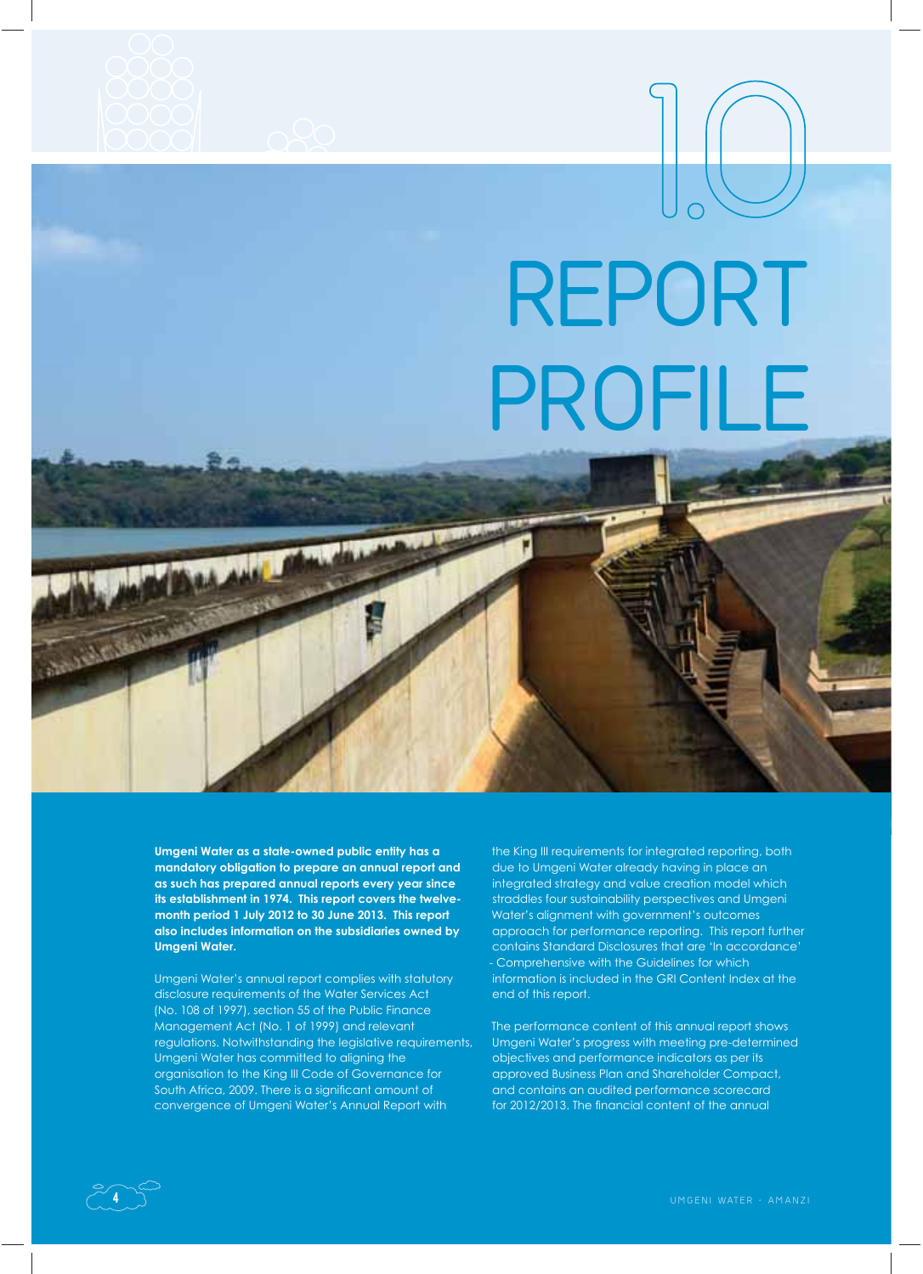

## **REPORT PROFILE 1.O**

**Umgeni Water as a state-owned public entity has a mandatory obligation to prepare an annual report and as such has prepared annual reports every year since its establishment in 1974. This report covers the twelvemonth period 1 July 2012 to 30 June 2013. This report also includes information on the subsidiaries owned by Umgeni Water.**

Umgeni Water's annual report complies with statutory disclosure requirements of the Water Services Act (No. 108 of 1997), section 55 of the Public Finance Management Act (No. 1 of 1999) and relevant regulations. Notwithstanding the legislative requirements, Umgeni Water has committed to aligning the organisation to the King III Code of Governance for South Africa, 2009. There is a significant amount of convergence of Umgeni Water's Annual Report with

the King III requirements for integrated reporting, both due to Umgeni Water already having in place an integrated strategy and value creation model which straddles four sustainability perspectives and Umgeni Water's alignment with government's outcomes approach for performance reporting. This report further contains Standard Disclosures that are 'In accordance' - Comprehensive with the Guidelines for which information is included in the GRI Content Index at the end of this report.

The performance content of this annual report shows Umgeni Water's progress with meeting pre-determined objectives and performance indicators as per its approved Business Plan and Shareholder Compact, and contains an audited performance scorecard for 2012/2013. The financial content of the annual



should fall